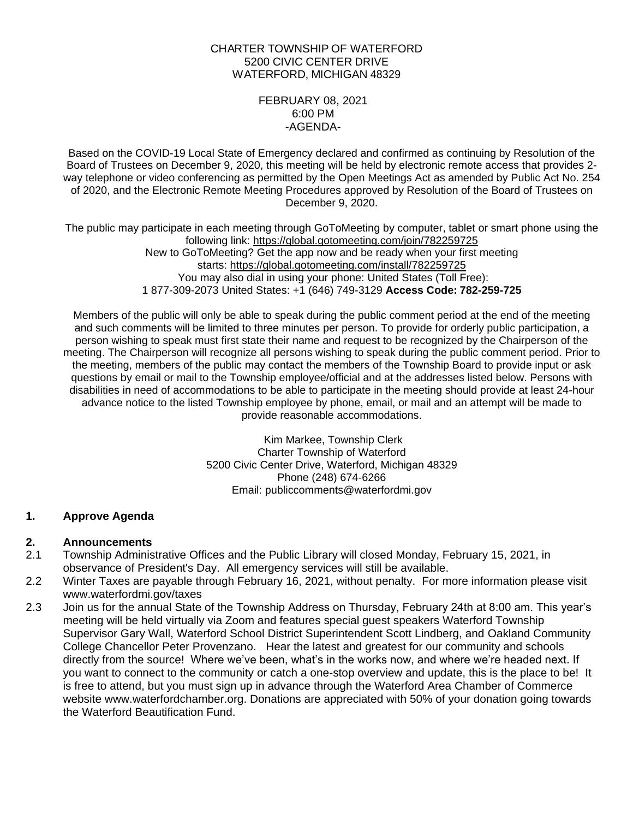## CHARTER TOWNSHIP OF WATERFORD 5200 CIVIC CENTER DRIVE WATERFORD, MICHIGAN 48329

#### FEBRUARY 08, 2021 6:00 PM -AGENDA-

Based on the COVID-19 Local State of Emergency declared and confirmed as continuing by Resolution of the Board of Trustees on December 9, 2020, this meeting will be held by electronic remote access that provides 2 way telephone or video conferencing as permitted by the Open Meetings Act as amended by Public Act No. 254 of 2020, and the Electronic Remote Meeting Procedures approved by Resolution of the Board of Trustees on December 9, 2020.

The public may participate in each meeting through GoToMeeting by computer, tablet or smart phone using the following link: https://global.gotomeeting.com/join/782259725 New to GoToMeeting? Get the app now and be ready when your first meeting starts: https://global.gotomeeting.com/install/782259725 You may also dial in using your phone: United States (Toll Free): 1 877-309-2073 United States: +1 (646) 749-3129 **Access Code: 782-259-725**

Members of the public will only be able to speak during the public comment period at the end of the meeting and such comments will be limited to three minutes per person. To provide for orderly public participation, a person wishing to speak must first state their name and request to be recognized by the Chairperson of the meeting. The Chairperson will recognize all persons wishing to speak during the public comment period. Prior to the meeting, members of the public may contact the members of the Township Board to provide input or ask questions by email or mail to the Township employee/official and at the addresses listed below. Persons with disabilities in need of accommodations to be able to participate in the meeting should provide at least 24-hour advance notice to the listed Township employee by phone, email, or mail and an attempt will be made to provide reasonable accommodations.

> Kim Markee, Township Clerk Charter Township of Waterford 5200 Civic Center Drive, Waterford, Michigan 48329 Phone (248) 674-6266 Email: [publiccomments@waterfordmi.gov](mailto:publiccomments@waterfordmi.gov)

# **1. Approve Agenda**

# **2. Announcements**

- 2.1 Township Administrative Offices and the Public Library will closed Monday, February 15, 2021, in observance of President's Day. All emergency services will still be available.
- 2.2 Winter Taxes are payable through February 16, 2021, without penalty. For more information please visit [www.waterfordmi.gov/taxes](http://www.waterfordmi.gov/taxes)
- 2.3 Join us for the annual State of the Township Address on Thursday, February 24th at 8:00 am. This year's meeting will be held virtually via Zoom and features special guest speakers Waterford Township Supervisor Gary Wall, Waterford School District Superintendent Scott Lindberg, and Oakland Community College Chancellor Peter Provenzano. Hear the latest and greatest for our community and schools directly from the source! Where we've been, what's in the works now, and where we're headed next. If you want to connect to the community or catch a one-stop overview and update, this is the place to be! It is free to attend, but you must sign up in advance through the Waterford Area Chamber of Commerce website www.waterfordchamber.org. Donations are appreciated with 50% of your donation going towards the Waterford Beautification Fund.